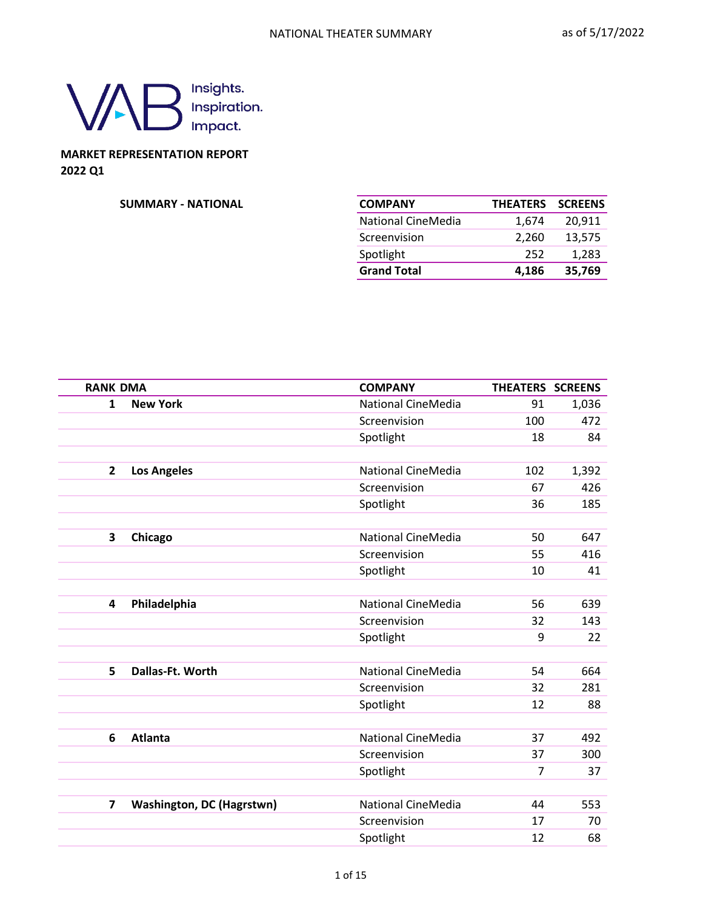

## **MARKET REPRESENTATION REPORT 2022 Q1**

#### $SUMMARY - NATIONAL$

| <b>COMPANY</b>     | <b>THEATERS</b> | <b>SCREENS</b> |
|--------------------|-----------------|----------------|
| National CineMedia | 1,674           | 20,911         |
| Screenvision       | 2,260           | 13,575         |
| Spotlight          | 252             | 1,283          |
| <b>Grand Total</b> | 4,186           | 35,769         |

| <b>RANK DMA</b> |                                  | <b>COMPANY</b>            | THEATERS SCREENS |       |
|-----------------|----------------------------------|---------------------------|------------------|-------|
| $\mathbf{1}$    | <b>New York</b>                  | <b>National CineMedia</b> | 91               | 1,036 |
|                 |                                  | Screenvision              | 100              | 472   |
|                 |                                  | Spotlight                 | 18               | 84    |
|                 |                                  |                           |                  |       |
| $\mathbf{2}$    | <b>Los Angeles</b>               | <b>National CineMedia</b> | 102              | 1,392 |
|                 |                                  | Screenvision              | 67               | 426   |
|                 |                                  | Spotlight                 | 36               | 185   |
|                 |                                  |                           |                  |       |
| 3               | Chicago                          | <b>National CineMedia</b> | 50               | 647   |
|                 |                                  | Screenvision              | 55               | 416   |
|                 |                                  | Spotlight                 | 10               | 41    |
|                 |                                  |                           |                  |       |
| 4               | Philadelphia                     | <b>National CineMedia</b> | 56               | 639   |
|                 |                                  | Screenvision              | 32               | 143   |
|                 |                                  | Spotlight                 | 9                | 22    |
|                 |                                  |                           |                  |       |
| 5               | Dallas-Ft. Worth                 | <b>National CineMedia</b> | 54               | 664   |
|                 |                                  | Screenvision              | 32               | 281   |
|                 |                                  | Spotlight                 | 12               | 88    |
|                 |                                  |                           |                  |       |
| 6               | <b>Atlanta</b>                   | <b>National CineMedia</b> | 37               | 492   |
|                 |                                  | Screenvision              | 37               | 300   |
|                 |                                  | Spotlight                 | $\overline{7}$   | 37    |
|                 |                                  |                           |                  |       |
| $\overline{ }$  | <b>Washington, DC (Hagrstwn)</b> | <b>National CineMedia</b> | 44               | 553   |
|                 |                                  | Screenvision              | 17               | 70    |
|                 |                                  | Spotlight                 | 12               | 68    |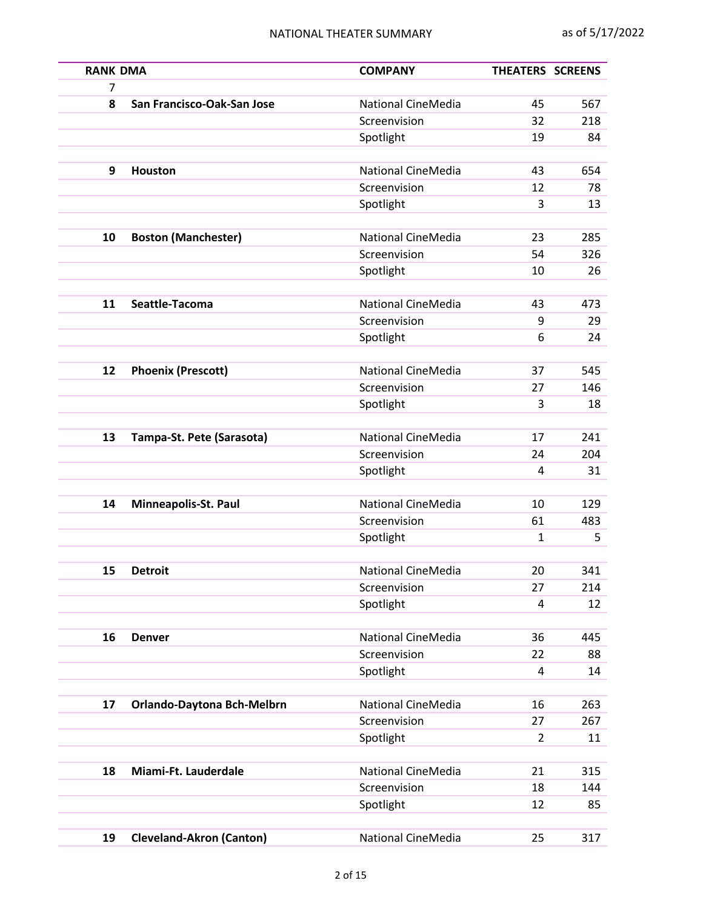| <b>RANK DMA</b> |                                 | <b>COMPANY</b>            | THEATERS SCREENS |     |
|-----------------|---------------------------------|---------------------------|------------------|-----|
| 7               |                                 |                           |                  |     |
| 8               | San Francisco-Oak-San Jose      | <b>National CineMedia</b> | 45               | 567 |
|                 |                                 | Screenvision              | 32               | 218 |
|                 |                                 | Spotlight                 | 19               | 84  |
| 9               | <b>Houston</b>                  | <b>National CineMedia</b> | 43               | 654 |
|                 |                                 | Screenvision              | 12               | 78  |
|                 |                                 | Spotlight                 | 3                | 13  |
|                 |                                 |                           |                  |     |
| 10              | <b>Boston (Manchester)</b>      | <b>National CineMedia</b> | 23               | 285 |
|                 |                                 | Screenvision              | 54               | 326 |
|                 |                                 | Spotlight                 | 10               | 26  |
|                 |                                 |                           |                  |     |
| 11              | Seattle-Tacoma                  | <b>National CineMedia</b> | 43               | 473 |
|                 |                                 | Screenvision              | 9                | 29  |
|                 |                                 | Spotlight                 | 6                | 24  |
|                 |                                 |                           |                  |     |
| 12              | <b>Phoenix (Prescott)</b>       | <b>National CineMedia</b> | 37               | 545 |
|                 |                                 | Screenvision              | 27               | 146 |
|                 |                                 | Spotlight                 | 3                | 18  |
|                 |                                 |                           |                  |     |
| 13              | Tampa-St. Pete (Sarasota)       | <b>National CineMedia</b> | 17               | 241 |
|                 |                                 | Screenvision              | 24               | 204 |
|                 |                                 | Spotlight                 | 4                | 31  |
| 14              | Minneapolis-St. Paul            | <b>National CineMedia</b> | 10               | 129 |
|                 |                                 | Screenvision              | 61               | 483 |
|                 |                                 | Spotlight                 | 1                | 5   |
|                 |                                 |                           |                  |     |
| 15              | <b>Detroit</b>                  | National CineMedia        | 20               | 341 |
|                 |                                 | Screenvision              | 27               | 214 |
|                 |                                 | Spotlight                 | 4                | 12  |
|                 |                                 |                           |                  |     |
| 16              | <b>Denver</b>                   | National CineMedia        | 36               | 445 |
|                 |                                 | Screenvision              | 22               | 88  |
|                 |                                 | Spotlight                 | 4                | 14  |
|                 |                                 |                           |                  |     |
| 17              | Orlando-Daytona Bch-Melbrn      | National CineMedia        | 16               | 263 |
|                 |                                 | Screenvision              | 27               | 267 |
|                 |                                 | Spotlight                 | $\overline{2}$   | 11  |
| 18              | Miami-Ft. Lauderdale            | <b>National CineMedia</b> | 21               | 315 |
|                 |                                 | Screenvision              | 18               | 144 |
|                 |                                 | Spotlight                 | 12               | 85  |
|                 |                                 |                           |                  |     |
| 19              | <b>Cleveland-Akron (Canton)</b> | National CineMedia        | 25               | 317 |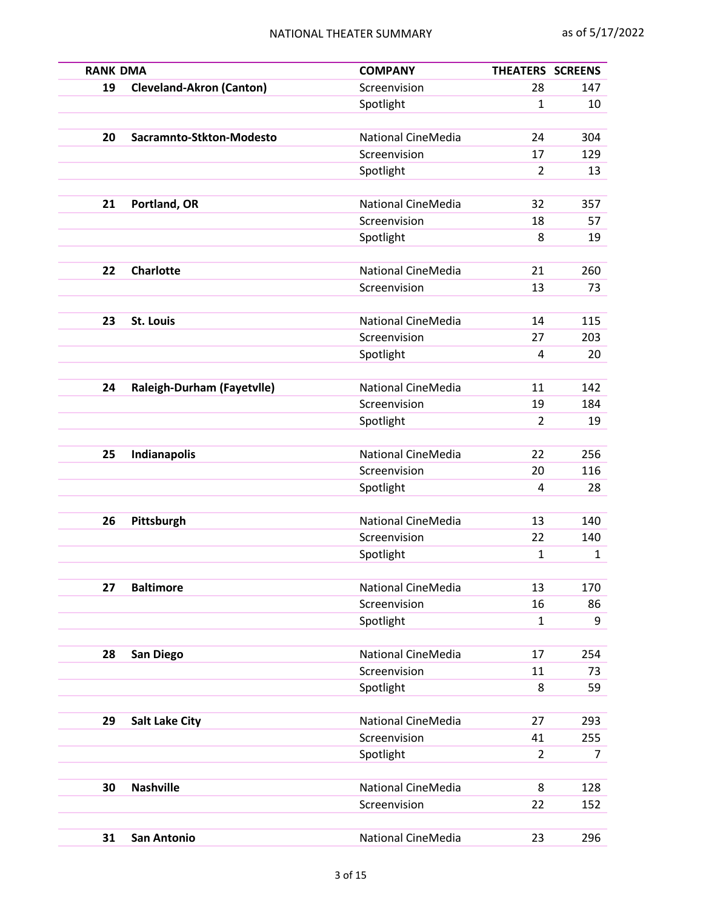| <b>RANK DMA</b> |                                 | <b>COMPANY</b>            | THEATERS SCREENS   |     |
|-----------------|---------------------------------|---------------------------|--------------------|-----|
| 19              | <b>Cleveland-Akron (Canton)</b> | Screenvision              | 28                 | 147 |
|                 |                                 | Spotlight                 | $\mathbf{1}$       | 10  |
|                 |                                 |                           |                    |     |
| 20              | Sacramnto-Stkton-Modesto        | <b>National CineMedia</b> | 24                 | 304 |
|                 |                                 | Screenvision              | 17                 | 129 |
|                 |                                 | Spotlight                 | $\overline{2}$     | 13  |
|                 |                                 |                           |                    |     |
| 21              | Portland, OR                    | <b>National CineMedia</b> | 32                 | 357 |
|                 |                                 | Screenvision              | 18                 | 57  |
|                 |                                 | Spotlight                 | 8                  | 19  |
|                 |                                 |                           |                    |     |
| 22              | <b>Charlotte</b>                | <b>National CineMedia</b> | 21                 | 260 |
|                 |                                 | Screenvision              | 13                 | 73  |
|                 |                                 |                           |                    |     |
| 23              | <b>St. Louis</b>                | <b>National CineMedia</b> | 14                 | 115 |
|                 |                                 | Screenvision              | 27                 | 203 |
|                 |                                 | Spotlight                 | 4                  | 20  |
|                 |                                 |                           |                    |     |
| 24              | Raleigh-Durham (Fayetvlle)      | National CineMedia        | 11                 | 142 |
|                 |                                 | Screenvision              | 19                 | 184 |
|                 |                                 | Spotlight                 | $\overline{2}$     | 19  |
|                 |                                 |                           |                    |     |
| 25              | Indianapolis                    | <b>National CineMedia</b> | 22                 | 256 |
|                 |                                 | Screenvision              | 20                 | 116 |
|                 |                                 | Spotlight                 | 4                  | 28  |
|                 |                                 |                           |                    |     |
| 26              | Pittsburgh                      | <b>National CineMedia</b> | 13                 | 140 |
|                 |                                 | Screenvision              | 22                 | 140 |
|                 |                                 | Spotlight                 | 1                  | 1   |
| 27              | <b>Baltimore</b>                | <b>National CineMedia</b> | 13                 | 170 |
|                 |                                 |                           |                    |     |
|                 |                                 | Screenvision              | 16<br>$\mathbf{1}$ | 86  |
|                 |                                 | Spotlight                 |                    | 9   |
| 28              |                                 | National CineMedia        | 17                 | 254 |
|                 | <b>San Diego</b>                | Screenvision              | 11                 | 73  |
|                 |                                 | Spotlight                 | 8                  | 59  |
|                 |                                 |                           |                    |     |
| 29              | <b>Salt Lake City</b>           | <b>National CineMedia</b> | 27                 | 293 |
|                 |                                 | Screenvision              | 41                 | 255 |
|                 |                                 | Spotlight                 | $\overline{2}$     | 7   |
|                 |                                 |                           |                    |     |
| 30              | <b>Nashville</b>                | <b>National CineMedia</b> | 8                  | 128 |
|                 |                                 | Screenvision              | 22                 | 152 |
|                 |                                 |                           |                    |     |
| 31              | <b>San Antonio</b>              | National CineMedia        | 23                 | 296 |
|                 |                                 |                           |                    |     |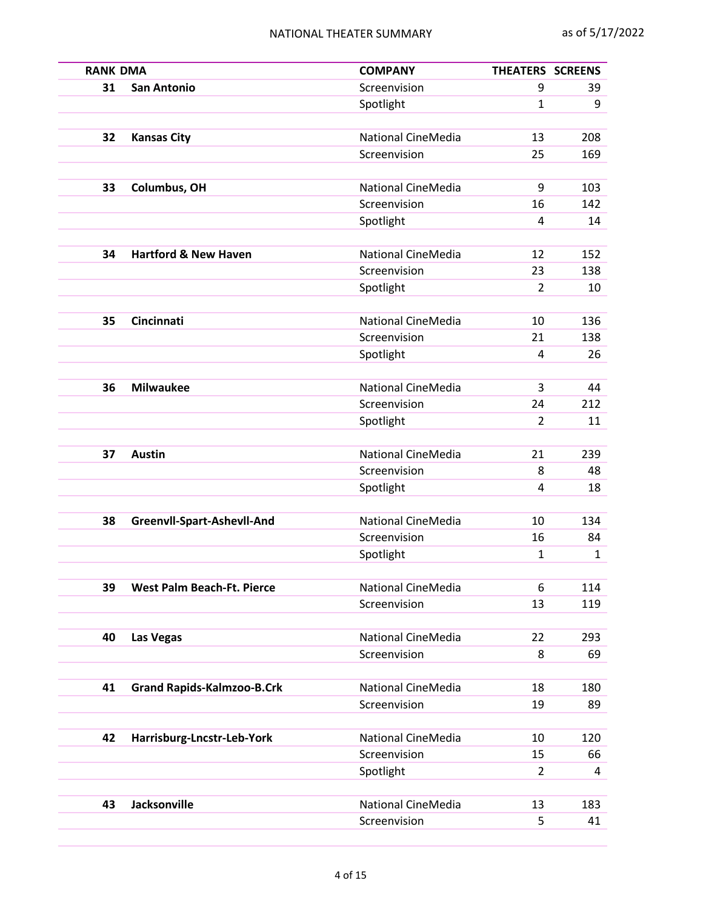| <b>RANK DMA</b> |                                   | <b>COMPANY</b>            | THEATERS SCREENS |            |
|-----------------|-----------------------------------|---------------------------|------------------|------------|
| 31              | <b>San Antonio</b>                | Screenvision              | 9                | 39         |
|                 |                                   | Spotlight                 | 1                | 9          |
|                 |                                   |                           |                  |            |
| 32              | <b>Kansas City</b>                | <b>National CineMedia</b> | 13               | 208        |
|                 |                                   | Screenvision              | 25               | 169        |
|                 |                                   |                           |                  |            |
| 33              | Columbus, OH                      | <b>National CineMedia</b> | 9                | 103        |
|                 |                                   | Screenvision              | 16               | 142        |
|                 |                                   | Spotlight                 | 4                | 14         |
|                 |                                   |                           |                  |            |
| 34              | <b>Hartford &amp; New Haven</b>   | <b>National CineMedia</b> | 12               | 152        |
|                 |                                   | Screenvision              | 23               | 138        |
|                 |                                   | Spotlight                 | $\overline{2}$   | 10         |
|                 | Cincinnati                        | <b>National CineMedia</b> | 10               |            |
| 35              |                                   | Screenvision              | 21               | 136<br>138 |
|                 |                                   | Spotlight                 | 4                | 26         |
|                 |                                   |                           |                  |            |
| 36              | <b>Milwaukee</b>                  | <b>National CineMedia</b> | 3                | 44         |
|                 |                                   | Screenvision              | 24               | 212        |
|                 |                                   | Spotlight                 | 2                | 11         |
|                 |                                   |                           |                  |            |
| 37              | <b>Austin</b>                     | <b>National CineMedia</b> | 21               | 239        |
|                 |                                   | Screenvision              | 8                | 48         |
|                 |                                   | Spotlight                 | 4                | 18         |
|                 |                                   |                           |                  |            |
| 38              | Greenvll-Spart-Ashevll-And        | <b>National CineMedia</b> | 10               | 134        |
|                 |                                   | Screenvision              | 16               | 84         |
|                 |                                   | Spotlight                 | 1                | 1          |
|                 |                                   |                           |                  |            |
| 39              | <b>West Palm Beach-Ft. Pierce</b> | National CineMedia        | 6                | 114        |
|                 |                                   | Screenvision              | 13               | 119        |
|                 |                                   |                           |                  |            |
| 40              | <b>Las Vegas</b>                  | National CineMedia        | 22               | 293        |
|                 |                                   | Screenvision              | 8                | 69         |
|                 |                                   |                           |                  |            |
| 41              | <b>Grand Rapids-Kalmzoo-B.Crk</b> | National CineMedia        | 18               | 180        |
|                 |                                   | Screenvision              | 19               | 89         |
| 42              | Harrisburg-Lncstr-Leb-York        | <b>National CineMedia</b> | 10               | 120        |
|                 |                                   | Screenvision              | 15               | 66         |
|                 |                                   |                           | $\overline{2}$   | 4          |
|                 |                                   | Spotlight                 |                  |            |
| 43              | <b>Jacksonville</b>               | National CineMedia        | 13               | 183        |
|                 |                                   | Screenvision              | 5                | 41         |
|                 |                                   |                           |                  |            |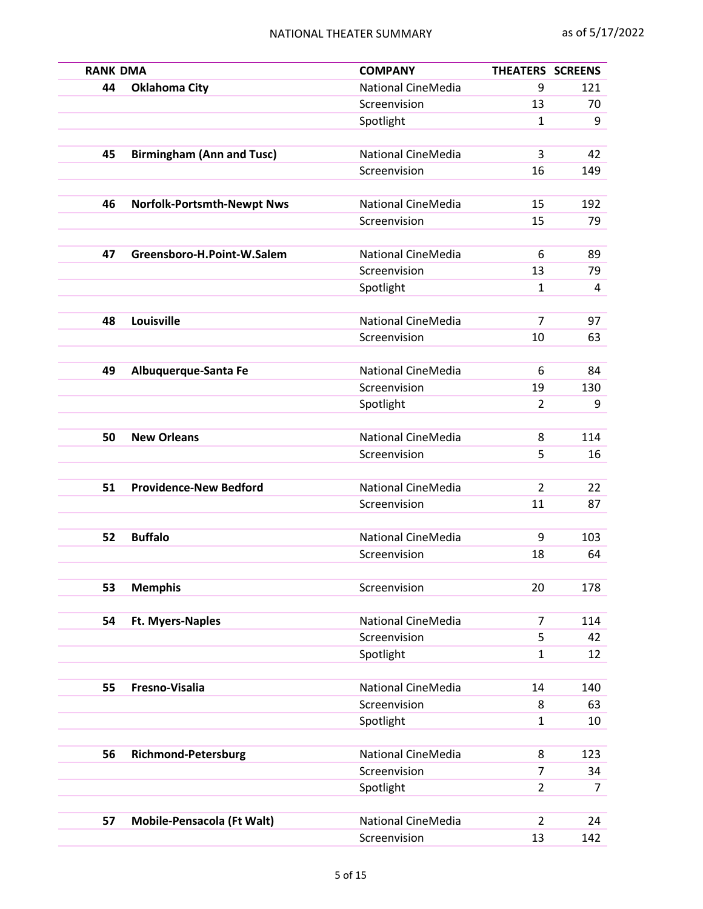| <b>RANK DMA</b> |                                   | <b>COMPANY</b>            | <b>THEATERS SCREENS</b> |     |
|-----------------|-----------------------------------|---------------------------|-------------------------|-----|
| 44              | <b>Oklahoma City</b>              | National CineMedia        | 9                       | 121 |
|                 |                                   | Screenvision              | 13                      | 70  |
|                 |                                   | Spotlight                 | $\mathbf{1}$            | 9   |
| 45              | <b>Birmingham (Ann and Tusc)</b>  | <b>National CineMedia</b> | 3                       | 42  |
|                 |                                   | Screenvision              | 16                      | 149 |
|                 |                                   |                           |                         |     |
| 46              | <b>Norfolk-Portsmth-Newpt Nws</b> | <b>National CineMedia</b> | 15                      | 192 |
|                 |                                   | Screenvision              | 15                      | 79  |
|                 |                                   |                           |                         |     |
| 47              | Greensboro-H.Point-W.Salem        | National CineMedia        | 6                       | 89  |
|                 |                                   | Screenvision              | 13                      | 79  |
|                 |                                   | Spotlight                 | 1                       | 4   |
|                 |                                   |                           | $\overline{7}$          |     |
| 48              | Louisville                        | <b>National CineMedia</b> |                         | 97  |
|                 |                                   | Screenvision              | 10                      | 63  |
| 49              | Albuquerque-Santa Fe              | National CineMedia        | 6                       | 84  |
|                 |                                   | Screenvision              | 19                      | 130 |
|                 |                                   | Spotlight                 | $\overline{2}$          | 9   |
|                 |                                   |                           |                         |     |
| 50              | <b>New Orleans</b>                | <b>National CineMedia</b> | 8                       | 114 |
|                 |                                   | Screenvision              | 5                       | 16  |
|                 |                                   |                           |                         |     |
| 51              | <b>Providence-New Bedford</b>     | National CineMedia        | $\overline{2}$          | 22  |
|                 |                                   | Screenvision              | 11                      | 87  |
|                 |                                   |                           |                         |     |
| 52              | <b>Buffalo</b>                    | National CineMedia        | 9                       | 103 |
|                 |                                   | Screenvision              | 18                      | 64  |
|                 |                                   |                           |                         |     |
| 53              | <b>Memphis</b>                    | Screenvision              | 20                      | 178 |
| 54              | <b>Ft. Myers-Naples</b>           | <b>National CineMedia</b> | 7                       | 114 |
|                 |                                   | Screenvision              | 5                       | 42  |
|                 |                                   | Spotlight                 | $\mathbf{1}$            | 12  |
|                 |                                   |                           |                         |     |
| 55              | Fresno-Visalia                    | National CineMedia        | 14                      | 140 |
|                 |                                   | Screenvision              | 8                       | 63  |
|                 |                                   | Spotlight                 | $\mathbf{1}$            | 10  |
|                 |                                   |                           |                         |     |
| 56              | <b>Richmond-Petersburg</b>        | <b>National CineMedia</b> | 8                       | 123 |
|                 |                                   | Screenvision              | 7                       | 34  |
|                 |                                   | Spotlight                 | $\overline{2}$          | 7   |
|                 |                                   |                           |                         |     |
| 57              | <b>Mobile-Pensacola (Ft Walt)</b> | National CineMedia        | $\overline{2}$          | 24  |
|                 |                                   | Screenvision              | 13                      | 142 |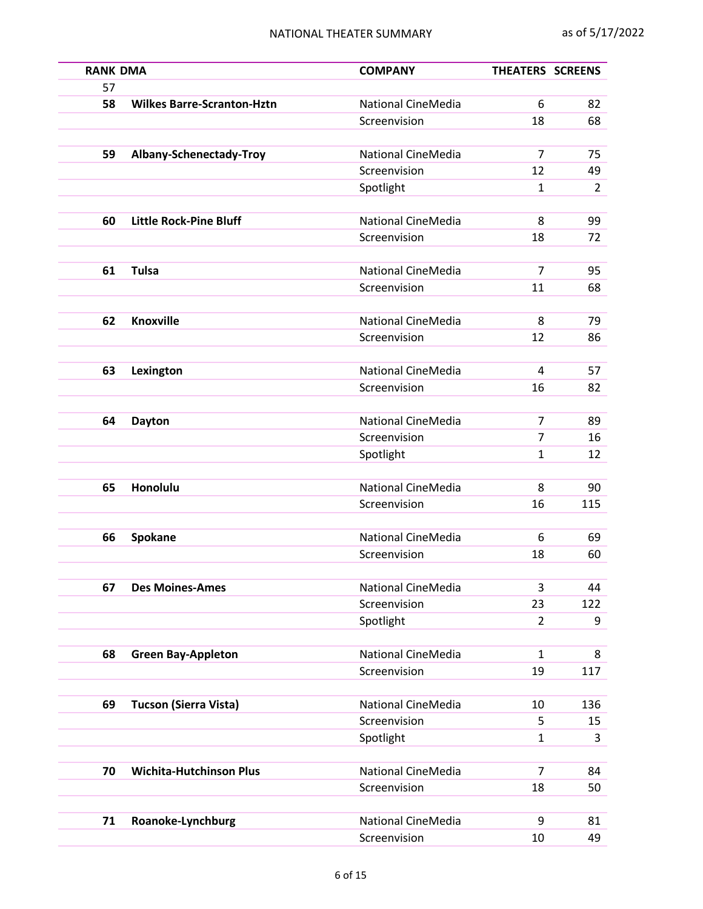| <b>RANK DMA</b>                   | <b>COMPANY</b>                                                                                                               | THEATERS SCREENS                                                                                                                                                                                                                                     |                                                                                          |
|-----------------------------------|------------------------------------------------------------------------------------------------------------------------------|------------------------------------------------------------------------------------------------------------------------------------------------------------------------------------------------------------------------------------------------------|------------------------------------------------------------------------------------------|
|                                   |                                                                                                                              |                                                                                                                                                                                                                                                      |                                                                                          |
| <b>Wilkes Barre-Scranton-Hztn</b> | National CineMedia                                                                                                           | 6                                                                                                                                                                                                                                                    | 82                                                                                       |
|                                   | Screenvision                                                                                                                 | 18                                                                                                                                                                                                                                                   | 68                                                                                       |
|                                   |                                                                                                                              |                                                                                                                                                                                                                                                      |                                                                                          |
| Albany-Schenectady-Troy           | National CineMedia                                                                                                           | $\overline{7}$                                                                                                                                                                                                                                       | 75                                                                                       |
|                                   | Screenvision                                                                                                                 | 12                                                                                                                                                                                                                                                   | 49                                                                                       |
|                                   | Spotlight                                                                                                                    | 1                                                                                                                                                                                                                                                    | $\overline{2}$                                                                           |
|                                   |                                                                                                                              |                                                                                                                                                                                                                                                      |                                                                                          |
|                                   |                                                                                                                              |                                                                                                                                                                                                                                                      | 99                                                                                       |
|                                   |                                                                                                                              |                                                                                                                                                                                                                                                      | 72                                                                                       |
|                                   |                                                                                                                              |                                                                                                                                                                                                                                                      | 95                                                                                       |
|                                   |                                                                                                                              |                                                                                                                                                                                                                                                      | 68                                                                                       |
|                                   |                                                                                                                              |                                                                                                                                                                                                                                                      |                                                                                          |
| <b>Knoxville</b>                  | <b>National CineMedia</b>                                                                                                    | 8                                                                                                                                                                                                                                                    | 79                                                                                       |
|                                   | Screenvision                                                                                                                 | 12                                                                                                                                                                                                                                                   | 86                                                                                       |
|                                   |                                                                                                                              |                                                                                                                                                                                                                                                      |                                                                                          |
|                                   | <b>National CineMedia</b>                                                                                                    | 4                                                                                                                                                                                                                                                    | 57                                                                                       |
|                                   | Screenvision                                                                                                                 | 16                                                                                                                                                                                                                                                   | 82                                                                                       |
|                                   |                                                                                                                              |                                                                                                                                                                                                                                                      |                                                                                          |
| <b>Dayton</b>                     | <b>National CineMedia</b>                                                                                                    | 7                                                                                                                                                                                                                                                    | 89                                                                                       |
|                                   | Screenvision                                                                                                                 | $\overline{7}$                                                                                                                                                                                                                                       | 16                                                                                       |
|                                   | Spotlight                                                                                                                    | 1                                                                                                                                                                                                                                                    | 12                                                                                       |
|                                   |                                                                                                                              |                                                                                                                                                                                                                                                      |                                                                                          |
| Honolulu                          | <b>National CineMedia</b>                                                                                                    | 8                                                                                                                                                                                                                                                    | 90                                                                                       |
|                                   | Screenvision                                                                                                                 | 16                                                                                                                                                                                                                                                   | 115                                                                                      |
|                                   |                                                                                                                              |                                                                                                                                                                                                                                                      |                                                                                          |
|                                   |                                                                                                                              |                                                                                                                                                                                                                                                      | 69<br>60                                                                                 |
|                                   |                                                                                                                              |                                                                                                                                                                                                                                                      |                                                                                          |
| <b>Des Moines-Ames</b>            |                                                                                                                              |                                                                                                                                                                                                                                                      | 44                                                                                       |
|                                   |                                                                                                                              |                                                                                                                                                                                                                                                      | 122                                                                                      |
|                                   |                                                                                                                              | $\overline{2}$                                                                                                                                                                                                                                       | 9                                                                                        |
|                                   |                                                                                                                              |                                                                                                                                                                                                                                                      |                                                                                          |
| <b>Green Bay-Appleton</b>         | National CineMedia                                                                                                           | $\mathbf{1}$                                                                                                                                                                                                                                         | 8                                                                                        |
|                                   | Screenvision                                                                                                                 | 19                                                                                                                                                                                                                                                   | 117                                                                                      |
|                                   |                                                                                                                              |                                                                                                                                                                                                                                                      |                                                                                          |
| <b>Tucson (Sierra Vista)</b>      | National CineMedia                                                                                                           | 10                                                                                                                                                                                                                                                   | 136                                                                                      |
|                                   | Screenvision                                                                                                                 | 5                                                                                                                                                                                                                                                    | 15                                                                                       |
|                                   | Spotlight                                                                                                                    | 1                                                                                                                                                                                                                                                    | 3                                                                                        |
|                                   |                                                                                                                              |                                                                                                                                                                                                                                                      |                                                                                          |
|                                   |                                                                                                                              |                                                                                                                                                                                                                                                      | 84                                                                                       |
|                                   |                                                                                                                              |                                                                                                                                                                                                                                                      | 50                                                                                       |
|                                   |                                                                                                                              |                                                                                                                                                                                                                                                      | 81                                                                                       |
|                                   |                                                                                                                              |                                                                                                                                                                                                                                                      | 49                                                                                       |
|                                   | <b>Little Rock-Pine Bluff</b><br><b>Tulsa</b><br>Lexington<br>Spokane<br><b>Wichita-Hutchinson Plus</b><br>Roanoke-Lynchburg | National CineMedia<br>Screenvision<br><b>National CineMedia</b><br>Screenvision<br>National CineMedia<br>Screenvision<br>National CineMedia<br>Screenvision<br>Spotlight<br>National CineMedia<br>Screenvision<br>National CineMedia<br>Screenvision | 8<br>18<br>$\overline{7}$<br>11<br>6<br>18<br>3<br>23<br>$\overline{7}$<br>18<br>9<br>10 |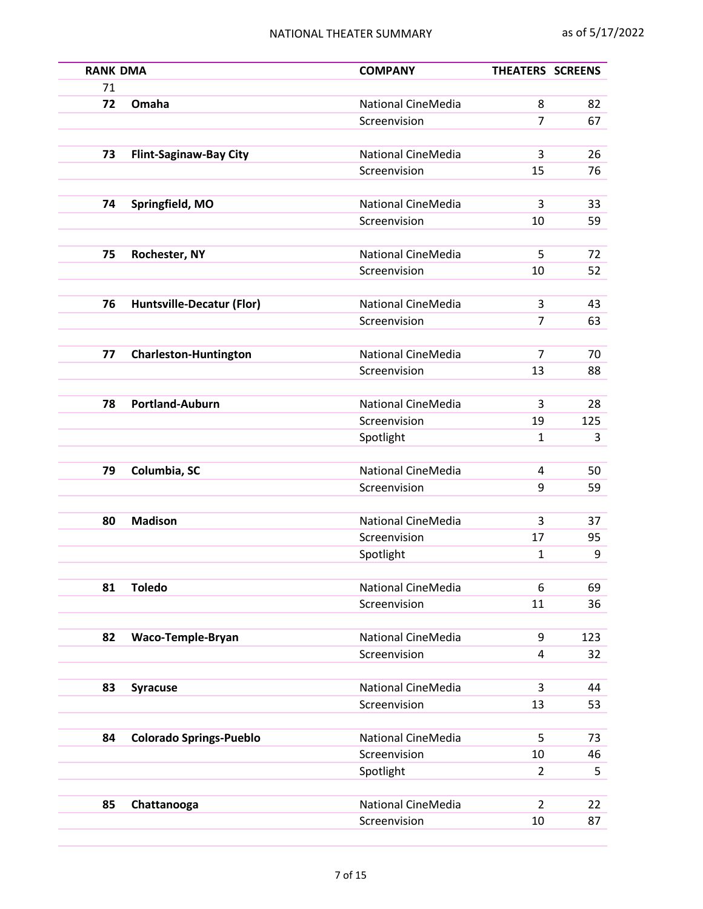| <b>RANK DMA</b> |                                  | <b>COMPANY</b>            | <b>THEATERS SCREENS</b> |          |
|-----------------|----------------------------------|---------------------------|-------------------------|----------|
| 71              |                                  |                           |                         |          |
| 72              | Omaha                            | National CineMedia        | 8                       | 82       |
|                 |                                  | Screenvision              | 7                       | 67       |
|                 |                                  |                           |                         |          |
| 73              | <b>Flint-Saginaw-Bay City</b>    | <b>National CineMedia</b> | 3                       | 26       |
|                 |                                  | Screenvision              | 15                      | 76       |
|                 |                                  |                           |                         |          |
| 74              | Springfield, MO                  | <b>National CineMedia</b> | 3                       | 33       |
|                 |                                  | Screenvision              | 10                      | 59       |
|                 |                                  |                           |                         |          |
| 75              | Rochester, NY                    | National CineMedia        | 5                       | 72       |
|                 |                                  | Screenvision              | 10                      | 52       |
|                 |                                  |                           |                         |          |
| 76              | <b>Huntsville-Decatur (Flor)</b> | <b>National CineMedia</b> | 3                       | 43       |
|                 |                                  | Screenvision              | $\overline{7}$          | 63       |
|                 |                                  |                           |                         |          |
| 77              | <b>Charleston-Huntington</b>     | National CineMedia        | 7                       | 70       |
|                 |                                  | Screenvision              | 13                      | 88       |
|                 |                                  |                           |                         |          |
| 78              | <b>Portland-Auburn</b>           | National CineMedia        | 3                       | 28       |
|                 |                                  | Screenvision              | 19                      | 125      |
|                 |                                  | Spotlight                 | 1                       | 3        |
| 79              | Columbia, SC                     | National CineMedia        | 4                       |          |
|                 |                                  | Screenvision              | 9                       | 50<br>59 |
|                 |                                  |                           |                         |          |
| 80              | <b>Madison</b>                   | National CineMedia        | 3                       | 37       |
|                 |                                  | Screenvision              | 17                      | 95       |
|                 |                                  | Spotlight                 | $\mathbf{1}$            | 9        |
|                 |                                  |                           |                         |          |
| 81              | <b>Toledo</b>                    | <b>National CineMedia</b> | 6                       | 69       |
|                 |                                  | Screenvision              | 11                      | 36       |
|                 |                                  |                           |                         |          |
| 82              | Waco-Temple-Bryan                | National CineMedia        | 9                       | 123      |
|                 |                                  | Screenvision              | 4                       | 32       |
|                 |                                  |                           |                         |          |
| 83              | <b>Syracuse</b>                  | National CineMedia        | 3                       | 44       |
|                 |                                  | Screenvision              | 13                      | 53       |
|                 |                                  |                           |                         |          |
| 84              | <b>Colorado Springs-Pueblo</b>   | National CineMedia        | 5                       | 73       |
|                 |                                  | Screenvision              | 10                      | 46       |
|                 |                                  | Spotlight                 | 2                       | 5        |
|                 |                                  |                           |                         |          |
| 85              | Chattanooga                      | National CineMedia        | $\overline{2}$          | 22       |
|                 |                                  | Screenvision              | 10                      | 87       |
|                 |                                  |                           |                         |          |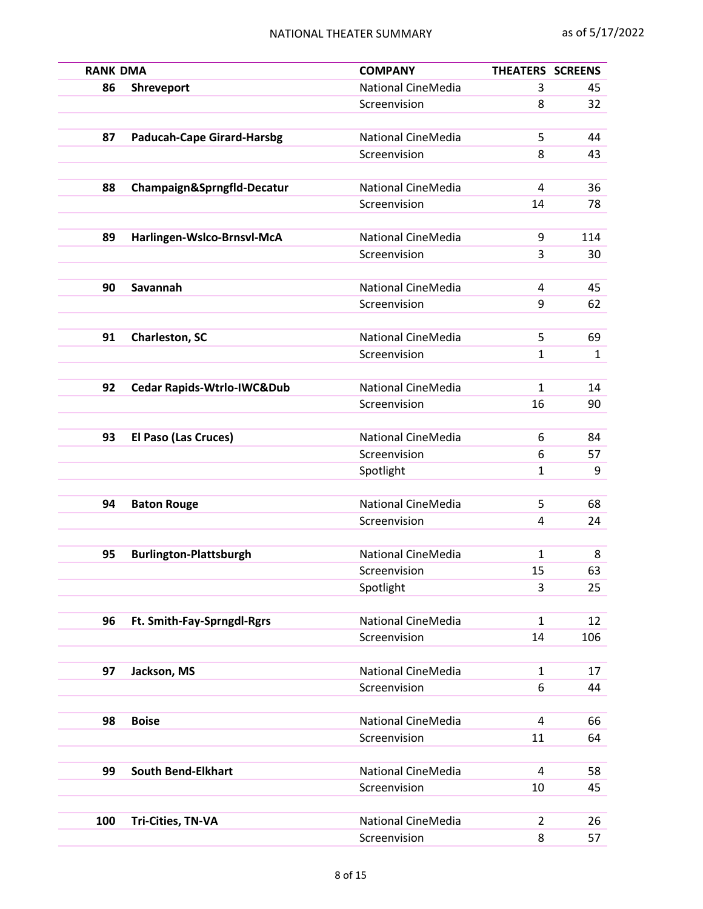| <b>RANK DMA</b> |                                       | <b>COMPANY</b>                     | THEATERS SCREENS |          |
|-----------------|---------------------------------------|------------------------------------|------------------|----------|
| 86              | Shreveport                            | <b>National CineMedia</b>          | 3                | 45       |
|                 |                                       | Screenvision                       | 8                | 32       |
|                 |                                       |                                    |                  |          |
| 87              | <b>Paducah-Cape Girard-Harsbg</b>     | <b>National CineMedia</b>          | 5                | 44       |
|                 |                                       | Screenvision                       | 8                | 43       |
| 88              | Champaign&Sprngfld-Decatur            | <b>National CineMedia</b>          | 4                | 36       |
|                 |                                       | Screenvision                       | 14               | 78       |
|                 |                                       |                                    |                  |          |
| 89              | Harlingen-Wslco-Brnsvl-McA            | <b>National CineMedia</b>          | 9                | 114      |
|                 |                                       | Screenvision                       | 3                | 30       |
|                 |                                       |                                    |                  |          |
| 90              | Savannah                              | National CineMedia                 | 4                | 45       |
|                 |                                       | Screenvision                       | 9                | 62       |
|                 |                                       |                                    |                  |          |
| 91              | <b>Charleston, SC</b>                 | National CineMedia                 | 5                | 69       |
|                 |                                       | Screenvision                       | 1                | 1        |
|                 |                                       |                                    |                  |          |
| 92              | <b>Cedar Rapids-Wtrlo-IWC&amp;Dub</b> | <b>National CineMedia</b>          | $\mathbf{1}$     | 14       |
|                 |                                       | Screenvision                       | 16               | 90       |
| 93              |                                       | <b>National CineMedia</b>          | 6                |          |
|                 | El Paso (Las Cruces)                  | Screenvision                       | 6                | 84       |
|                 |                                       | Spotlight                          | $\mathbf{1}$     | 57<br>9  |
|                 |                                       |                                    |                  |          |
| 94              | <b>Baton Rouge</b>                    | <b>National CineMedia</b>          | 5                | 68       |
|                 |                                       | Screenvision                       | 4                | 24       |
|                 |                                       |                                    |                  |          |
| 95              | <b>Burlington-Plattsburgh</b>         | National CineMedia                 | $\mathbf{1}$     | 8        |
|                 |                                       | Screenvision                       | 15               | 63       |
|                 |                                       | Spotlight                          | 3                | 25       |
|                 |                                       |                                    |                  |          |
| 96              | Ft. Smith-Fay-Sprngdl-Rgrs            | National CineMedia                 | $\mathbf{1}$     | 12       |
|                 |                                       | Screenvision                       | 14               | 106      |
|                 |                                       |                                    |                  |          |
| 97              | Jackson, MS                           | National CineMedia                 | $\mathbf{1}$     | 17       |
|                 |                                       | Screenvision                       | 6                | 44       |
|                 |                                       |                                    |                  |          |
| 98              | <b>Boise</b>                          | National CineMedia<br>Screenvision | 4<br>11          | 66<br>64 |
|                 |                                       |                                    |                  |          |
| 99              | <b>South Bend-Elkhart</b>             | <b>National CineMedia</b>          | 4                | 58       |
|                 |                                       | Screenvision                       | 10               | 45       |
|                 |                                       |                                    |                  |          |
| 100             | Tri-Cities, TN-VA                     | National CineMedia                 | $\overline{2}$   | 26       |
|                 |                                       | Screenvision                       | 8                | 57       |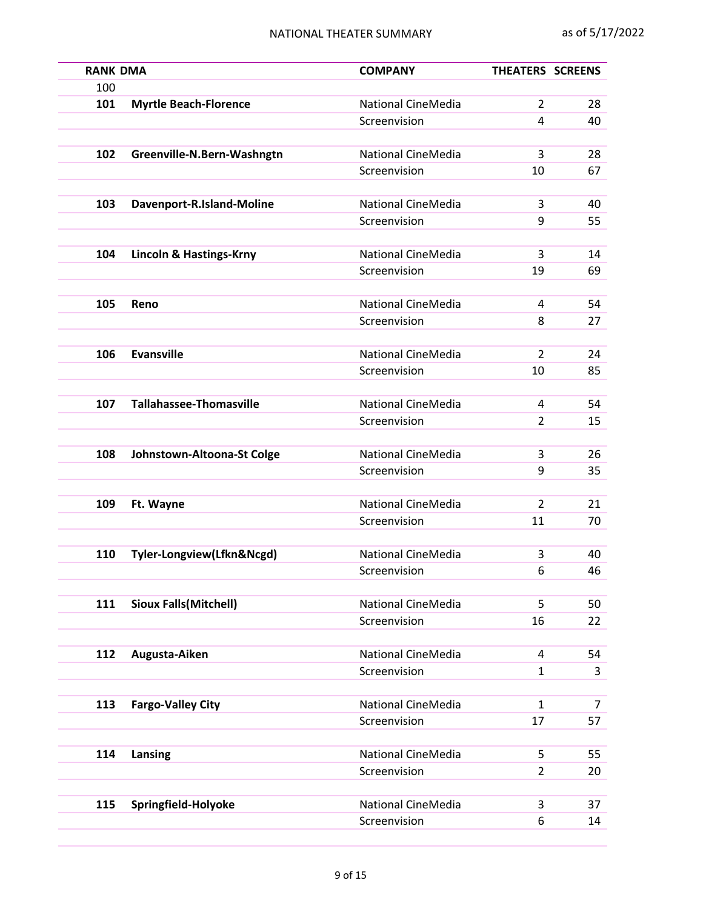| <b>RANK DMA</b> |                                    | <b>COMPANY</b>            | <b>THEATERS SCREENS</b> |          |
|-----------------|------------------------------------|---------------------------|-------------------------|----------|
| 100             |                                    |                           |                         |          |
| 101             | <b>Myrtle Beach-Florence</b>       | <b>National CineMedia</b> | $\overline{2}$          | 28       |
|                 |                                    | Screenvision              | 4                       | 40       |
|                 |                                    |                           |                         |          |
| 102             | Greenville-N.Bern-Washngtn         | <b>National CineMedia</b> | 3                       | 28       |
|                 |                                    | Screenvision              | 10                      | 67       |
| 103             | Davenport-R.Island-Moline          | <b>National CineMedia</b> | 3                       | 40       |
|                 |                                    | Screenvision              | 9                       | 55       |
|                 |                                    |                           |                         |          |
| 104             | <b>Lincoln &amp; Hastings-Krny</b> | <b>National CineMedia</b> | 3                       | 14       |
|                 |                                    | Screenvision              | 19                      | 69       |
|                 |                                    |                           |                         |          |
| 105             | Reno                               | National CineMedia        | 4                       | 54       |
|                 |                                    | Screenvision              | 8                       | 27       |
|                 |                                    |                           |                         |          |
| 106             | <b>Evansville</b>                  | National CineMedia        | $\overline{2}$          | 24       |
|                 |                                    | Screenvision              | 10                      | 85       |
| 107             | <b>Tallahassee-Thomasville</b>     | National CineMedia        | 4                       | 54       |
|                 |                                    | Screenvision              | $\overline{2}$          | 15       |
|                 |                                    |                           |                         |          |
| 108             | Johnstown-Altoona-St Colge         | <b>National CineMedia</b> | 3                       | 26       |
|                 |                                    | Screenvision              | 9                       | 35       |
|                 |                                    |                           |                         |          |
| 109             | Ft. Wayne                          | <b>National CineMedia</b> | $\overline{2}$          | 21       |
|                 |                                    | Screenvision              | 11                      | 70       |
|                 |                                    |                           |                         |          |
| 110             | Tyler-Longview(Lfkn&Ncgd)          | National CineMedia        | 3                       | 40       |
|                 |                                    | Screenvision              | 6                       | 46       |
|                 |                                    | <b>National CineMedia</b> |                         |          |
| 111             | <b>Sioux Falls (Mitchell)</b>      | Screenvision              | 5<br>16                 | 50<br>22 |
|                 |                                    |                           |                         |          |
| 112             | Augusta-Aiken                      | <b>National CineMedia</b> | 4                       | 54       |
|                 |                                    | Screenvision              | $\mathbf{1}$            | 3        |
|                 |                                    |                           |                         |          |
| 113             | <b>Fargo-Valley City</b>           | National CineMedia        | 1                       | 7        |
|                 |                                    | Screenvision              | 17                      | 57       |
|                 |                                    |                           |                         |          |
| 114             | Lansing                            | <b>National CineMedia</b> | 5                       | 55       |
|                 |                                    | Screenvision              | $\overline{2}$          | 20       |
|                 |                                    |                           |                         |          |
| 115             | Springfield-Holyoke                | National CineMedia        | 3                       | 37       |
|                 |                                    | Screenvision              | 6                       | 14       |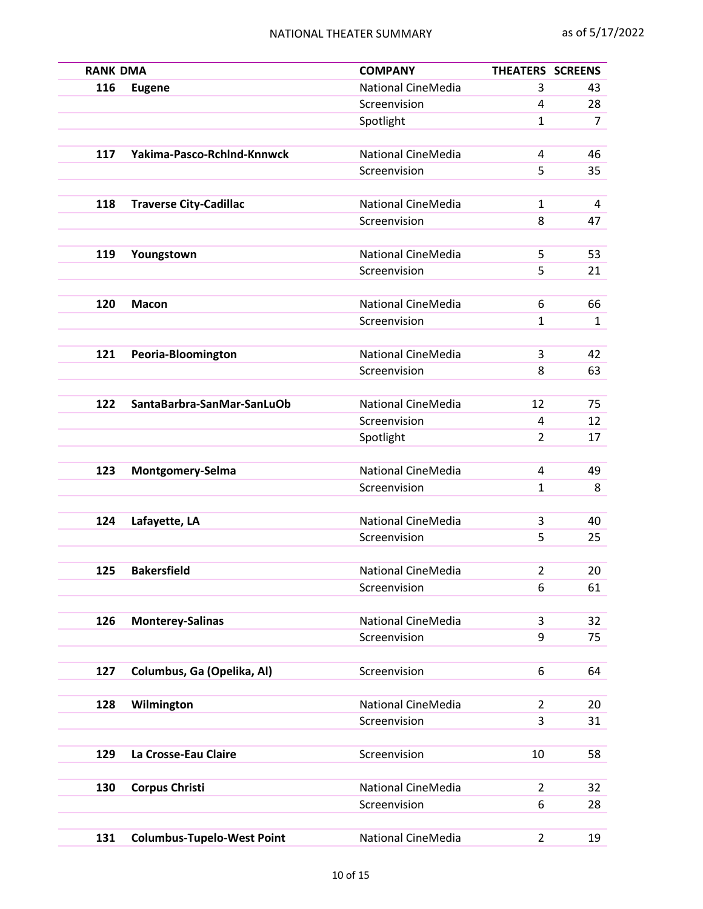| <b>RANK DMA</b> |                                   | <b>COMPANY</b>            | <b>THEATERS SCREENS</b> |                |
|-----------------|-----------------------------------|---------------------------|-------------------------|----------------|
| 116             | <b>Eugene</b>                     | National CineMedia        | 3                       | 43             |
|                 |                                   | Screenvision              | 4                       | 28             |
|                 |                                   | Spotlight                 | $\mathbf{1}$            | $\overline{7}$ |
| 117             | Yakima-Pasco-RchInd-Knnwck        | National CineMedia        | 4                       | 46             |
|                 |                                   | Screenvision              | 5                       | 35             |
|                 |                                   |                           |                         |                |
| 118             | <b>Traverse City-Cadillac</b>     | <b>National CineMedia</b> | $\mathbf{1}$            | 4              |
|                 |                                   | Screenvision              | 8                       | 47             |
|                 |                                   |                           |                         |                |
| 119             | Youngstown                        | <b>National CineMedia</b> | 5                       | 53             |
|                 |                                   | Screenvision              | 5                       | 21             |
| 120             | <b>Macon</b>                      | <b>National CineMedia</b> | 6                       | 66             |
|                 |                                   | Screenvision              | $\mathbf{1}$            | $\mathbf{1}$   |
|                 |                                   |                           |                         |                |
| 121             | Peoria-Bloomington                | <b>National CineMedia</b> | 3                       | 42             |
|                 |                                   | Screenvision              | 8                       | 63             |
|                 |                                   |                           |                         |                |
| 122             | SantaBarbra-SanMar-SanLuOb        | <b>National CineMedia</b> | 12                      | 75             |
|                 |                                   | Screenvision              | 4                       | 12             |
|                 |                                   | Spotlight                 | $\overline{2}$          | 17             |
| 123             | Montgomery-Selma                  | <b>National CineMedia</b> | 4                       | 49             |
|                 |                                   | Screenvision              | 1                       | 8              |
|                 |                                   |                           |                         |                |
| 124             | Lafayette, LA                     | <b>National CineMedia</b> | 3                       | 40             |
|                 |                                   | Screenvision              | 5                       | 25             |
|                 |                                   |                           |                         |                |
| 125             | <b>Bakersfield</b>                | <b>National CineMedia</b> | $\overline{2}$          | 20             |
|                 |                                   | Screenvision              | 6                       | 61             |
| 126             | <b>Monterey-Salinas</b>           | National CineMedia        | 3                       | 32             |
|                 |                                   | Screenvision              | 9                       | 75             |
|                 |                                   |                           |                         |                |
| 127             | Columbus, Ga (Opelika, Al)        | Screenvision              | 6                       | 64             |
|                 |                                   |                           |                         |                |
| 128             | Wilmington                        | National CineMedia        | $\overline{2}$          | 20             |
|                 |                                   | Screenvision              | 3                       | 31             |
|                 |                                   |                           |                         |                |
| 129             | La Crosse-Eau Claire              | Screenvision              | 10                      | 58             |
| 130             | <b>Corpus Christi</b>             | <b>National CineMedia</b> | $\overline{2}$          | 32             |
|                 |                                   | Screenvision              | 6                       | 28             |
|                 |                                   |                           |                         |                |
| 131             | <b>Columbus-Tupelo-West Point</b> | National CineMedia        | $\overline{2}$          | 19             |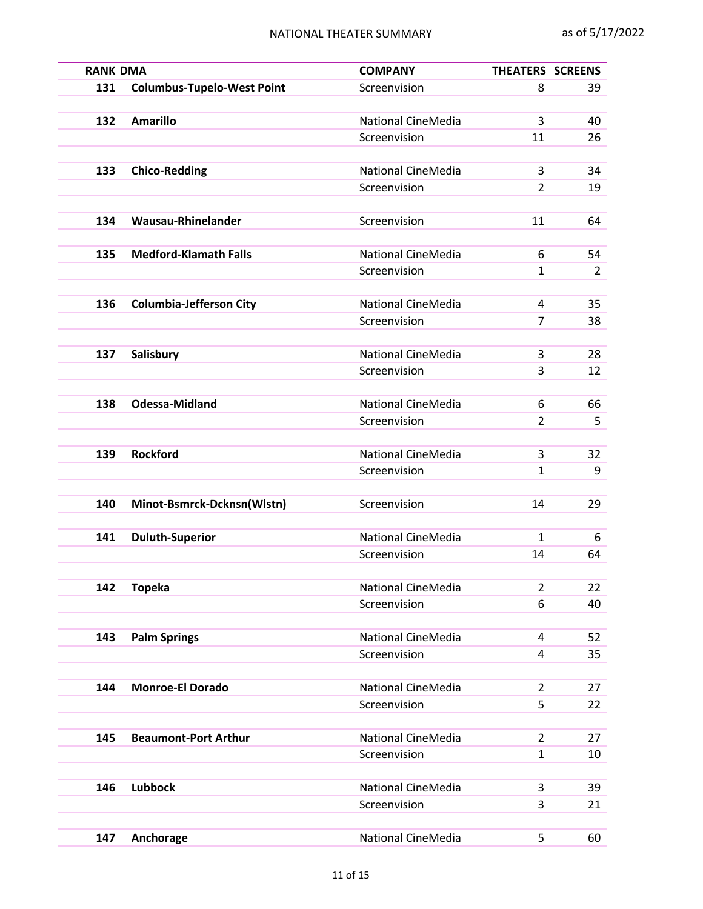| <b>RANK DMA</b> |                                   | <b>COMPANY</b>                            | THEATERS SCREENS    |                |
|-----------------|-----------------------------------|-------------------------------------------|---------------------|----------------|
| 131             | <b>Columbus-Tupelo-West Point</b> | Screenvision                              | 8                   | 39             |
|                 |                                   |                                           |                     |                |
| 132             | <b>Amarillo</b>                   | <b>National CineMedia</b>                 | 3                   | 40             |
|                 |                                   | Screenvision                              | 11                  | 26             |
|                 |                                   |                                           |                     |                |
| 133             | <b>Chico-Redding</b>              | <b>National CineMedia</b>                 | 3                   | 34             |
|                 |                                   | Screenvision                              | $\overline{2}$      | 19             |
|                 |                                   |                                           |                     |                |
| 134             | Wausau-Rhinelander                | Screenvision                              | 11                  | 64             |
|                 |                                   |                                           |                     |                |
| 135             | <b>Medford-Klamath Falls</b>      | <b>National CineMedia</b>                 | 6                   | 54             |
|                 |                                   | Screenvision                              | $\mathbf{1}$        | $\overline{2}$ |
|                 |                                   |                                           |                     |                |
| 136             | <b>Columbia-Jefferson City</b>    | <b>National CineMedia</b><br>Screenvision | 4<br>$\overline{7}$ | 35<br>38       |
|                 |                                   |                                           |                     |                |
| 137             | Salisbury                         | <b>National CineMedia</b>                 | 3                   | 28             |
|                 |                                   | Screenvision                              | 3                   | 12             |
|                 |                                   |                                           |                     |                |
| 138             | <b>Odessa-Midland</b>             | <b>National CineMedia</b>                 | 6                   | 66             |
|                 |                                   | Screenvision                              | 2                   | 5              |
|                 |                                   |                                           |                     |                |
| 139             | <b>Rockford</b>                   | <b>National CineMedia</b>                 | 3                   | 32             |
|                 |                                   | Screenvision                              | $\mathbf{1}$        | 9              |
|                 |                                   |                                           |                     |                |
| 140             | Minot-Bsmrck-Dcknsn(Wlstn)        | Screenvision                              | 14                  | 29             |
|                 |                                   |                                           |                     |                |
| 141             | <b>Duluth-Superior</b>            | <b>National CineMedia</b>                 | 1                   | 6              |
|                 |                                   | Screenvision                              | 14                  | 64             |
|                 |                                   |                                           |                     |                |
| 142             | <b>Topeka</b>                     | National CineMedia                        | $\overline{2}$      | 22             |
|                 |                                   | Screenvision                              | 6                   | 40             |
|                 |                                   |                                           |                     |                |
| 143             | <b>Palm Springs</b>               | <b>National CineMedia</b>                 | 4                   | 52             |
|                 |                                   | Screenvision                              | 4                   | 35             |
|                 |                                   |                                           |                     |                |
| 144             | <b>Monroe-El Dorado</b>           | <b>National CineMedia</b>                 | $\overline{2}$      | 27             |
|                 |                                   | Screenvision                              | 5                   | 22             |
|                 |                                   |                                           |                     |                |
| 145             | <b>Beaumont-Port Arthur</b>       | <b>National CineMedia</b>                 | $\overline{2}$      | 27             |
|                 |                                   | Screenvision                              | $\mathbf{1}$        | 10             |
|                 |                                   | <b>National CineMedia</b>                 |                     |                |
| 146             | <b>Lubbock</b>                    | Screenvision                              | 3<br>3              | 39<br>21       |
|                 |                                   |                                           |                     |                |
| 147             | Anchorage                         | National CineMedia                        | 5                   | 60             |
|                 |                                   |                                           |                     |                |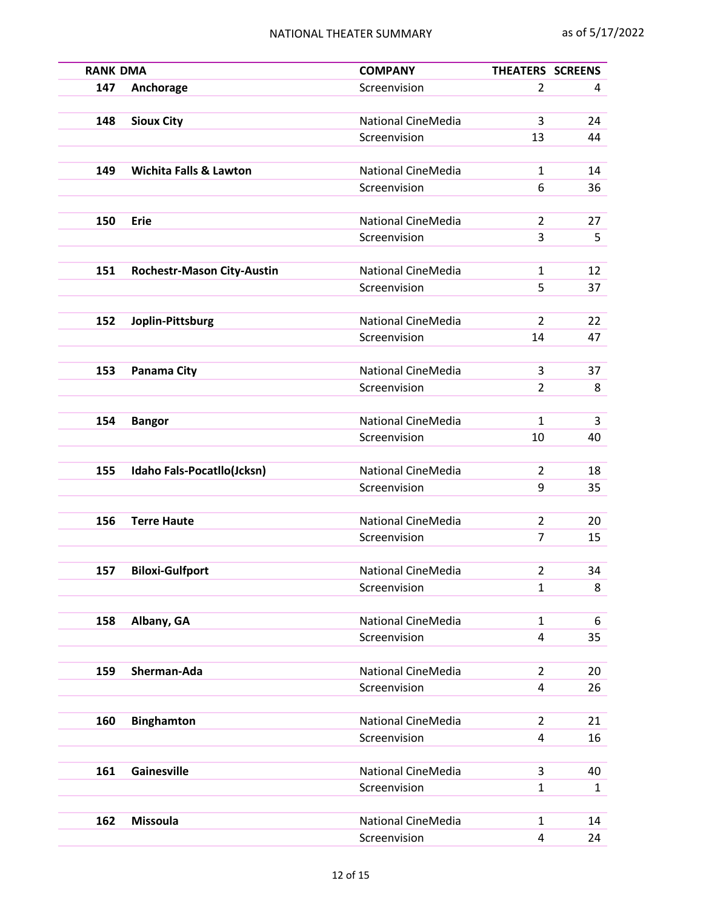| <b>RANK DMA</b> |                                   | <b>COMPANY</b>                     | THEATERS SCREENS    |              |
|-----------------|-----------------------------------|------------------------------------|---------------------|--------------|
| 147             | Anchorage                         | Screenvision                       | $\overline{2}$      | 4            |
|                 |                                   |                                    |                     |              |
| 148             | <b>Sioux City</b>                 | <b>National CineMedia</b>          | 3                   | 24           |
|                 |                                   | Screenvision                       | 13                  | 44           |
|                 | <b>Wichita Falls &amp; Lawton</b> | <b>National CineMedia</b>          |                     |              |
| 149             |                                   |                                    | $\mathbf{1}$        | 14           |
|                 |                                   | Screenvision                       | 6                   | 36           |
| 150             | <b>Erie</b>                       | National CineMedia                 | $\overline{2}$      | 27           |
|                 |                                   | Screenvision                       | 3                   | 5            |
|                 |                                   |                                    |                     |              |
| 151             | <b>Rochestr-Mason City-Austin</b> | <b>National CineMedia</b>          | $\mathbf{1}$        | 12           |
|                 |                                   | Screenvision                       | 5                   | 37           |
|                 |                                   |                                    |                     |              |
| 152             | Joplin-Pittsburg                  | <b>National CineMedia</b>          | $\overline{2}$      | 22           |
|                 |                                   | Screenvision                       | 14                  | 47           |
|                 |                                   |                                    |                     |              |
| 153             | Panama City                       | National CineMedia                 | 3                   | 37           |
|                 |                                   | Screenvision                       | $\overline{2}$      | 8            |
|                 |                                   |                                    |                     |              |
| 154             | <b>Bangor</b>                     | <b>National CineMedia</b>          | $\mathbf{1}$        | 3            |
|                 |                                   | Screenvision                       | 10                  | 40           |
|                 |                                   |                                    |                     |              |
| 155             | Idaho Fals-Pocatllo(Jcksn)        | <b>National CineMedia</b>          | $\overline{2}$      | 18           |
|                 |                                   | Screenvision                       | 9                   | 35           |
|                 |                                   |                                    |                     |              |
| 156             | <b>Terre Haute</b>                | <b>National CineMedia</b>          | $\overline{2}$      | 20           |
|                 |                                   | Screenvision                       | $\overline{7}$      | 15           |
|                 |                                   |                                    |                     |              |
| 157             | <b>Biloxi-Gulfport</b>            | National CineMedia                 | $\overline{2}$      | 34           |
|                 |                                   | Screenvision                       | $\mathbf{1}$        | 8            |
|                 |                                   |                                    |                     |              |
| 158             | Albany, GA                        | <b>National CineMedia</b>          | $\mathbf{1}$        | 6            |
|                 |                                   | Screenvision                       | 4                   | 35           |
|                 |                                   |                                    |                     |              |
| 159             | Sherman-Ada                       | National CineMedia                 | $\overline{2}$      | 20           |
|                 |                                   | Screenvision                       | 4                   | 26           |
|                 |                                   |                                    |                     |              |
| 160             | <b>Binghamton</b>                 | National CineMedia<br>Screenvision | $\overline{2}$<br>4 | 21<br>16     |
|                 |                                   |                                    |                     |              |
| 161             | Gainesville                       | National CineMedia                 | 3                   | 40           |
|                 |                                   | Screenvision                       | $\mathbf{1}$        | $\mathbf{1}$ |
|                 |                                   |                                    |                     |              |
| 162             | <b>Missoula</b>                   | National CineMedia                 | $\mathbf{1}$        | 14           |
|                 |                                   | Screenvision                       | 4                   | 24           |
|                 |                                   |                                    |                     |              |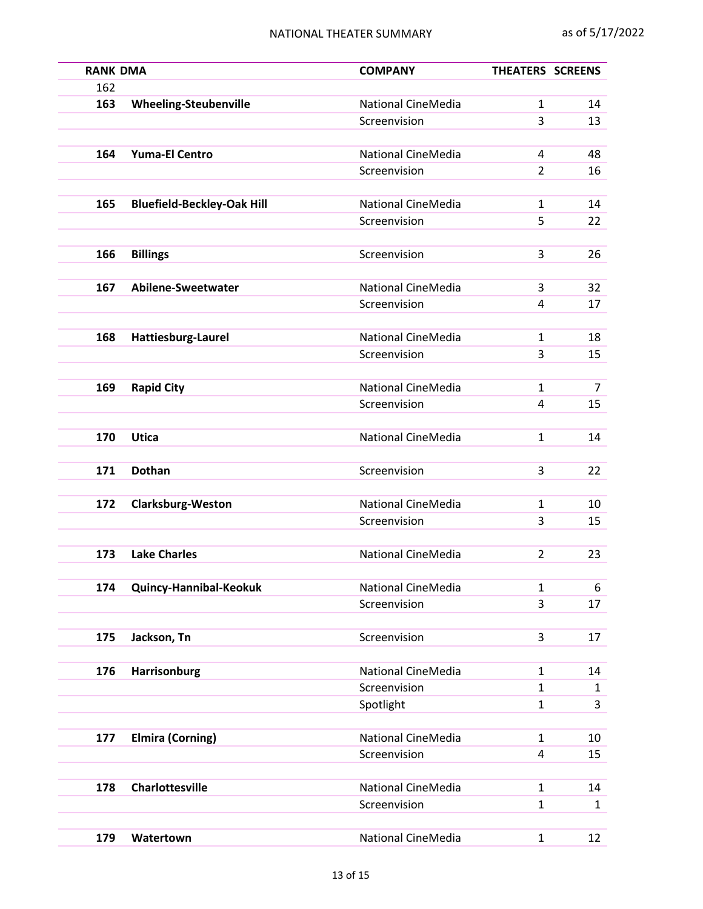| <b>RANK DMA</b> |                                   | <b>COMPANY</b>            | THEATERS SCREENS |              |
|-----------------|-----------------------------------|---------------------------|------------------|--------------|
| 162             |                                   |                           |                  |              |
| 163             | <b>Wheeling-Steubenville</b>      | <b>National CineMedia</b> | $\mathbf{1}$     | 14           |
|                 |                                   | Screenvision              | 3                | 13           |
| 164             | <b>Yuma-El Centro</b>             | National CineMedia        | 4                | 48           |
|                 |                                   | Screenvision              | $\overline{2}$   | 16           |
|                 |                                   |                           |                  |              |
| 165             | <b>Bluefield-Beckley-Oak Hill</b> | <b>National CineMedia</b> | $\mathbf{1}$     | 14           |
|                 |                                   | Screenvision              | 5                | 22           |
| 166             | <b>Billings</b>                   | Screenvision              | 3                | 26           |
|                 |                                   |                           |                  |              |
| 167             | Abilene-Sweetwater                | <b>National CineMedia</b> | 3                | 32           |
|                 |                                   | Screenvision              | 4                | 17           |
|                 |                                   |                           |                  |              |
| 168             | Hattiesburg-Laurel                | <b>National CineMedia</b> | $\mathbf{1}$     | 18           |
|                 |                                   | Screenvision              | 3                | 15           |
|                 |                                   |                           |                  |              |
| 169             | <b>Rapid City</b>                 | <b>National CineMedia</b> | $\mathbf{1}$     | 7            |
|                 |                                   | Screenvision              | 4                | 15           |
| 170             | <b>Utica</b>                      | National CineMedia        | $\mathbf{1}$     | 14           |
|                 |                                   |                           |                  |              |
| 171             | <b>Dothan</b>                     | Screenvision              | 3                | 22           |
|                 |                                   |                           |                  |              |
| 172             | <b>Clarksburg-Weston</b>          | National CineMedia        | $\mathbf{1}$     | 10           |
|                 |                                   | Screenvision              | 3                | 15           |
| 173             | <b>Lake Charles</b>               | <b>National CineMedia</b> | $\overline{2}$   | 23           |
|                 |                                   |                           |                  |              |
| 174             | Quincy-Hannibal-Keokuk            | <b>National CineMedia</b> | 1                | 6            |
|                 |                                   | Screenvision              | 3                | 17           |
|                 |                                   |                           |                  |              |
| 175             | Jackson, Tn                       | Screenvision              | 3                | 17           |
|                 |                                   |                           |                  |              |
| 176             | Harrisonburg                      | National CineMedia        | 1                | 14           |
|                 |                                   | Screenvision              | $\mathbf{1}$     | 1            |
|                 |                                   | Spotlight                 | $\mathbf{1}$     | 3            |
| 177             | <b>Elmira (Corning)</b>           | <b>National CineMedia</b> | $\mathbf{1}$     | 10           |
|                 |                                   | Screenvision              | 4                | 15           |
|                 |                                   |                           |                  |              |
| 178             | <b>Charlottesville</b>            | National CineMedia        | $\mathbf{1}$     | 14           |
|                 |                                   | Screenvision              | 1                | $\mathbf{1}$ |
|                 |                                   |                           |                  |              |
| 179             | Watertown                         | National CineMedia        | $\mathbf{1}$     | 12           |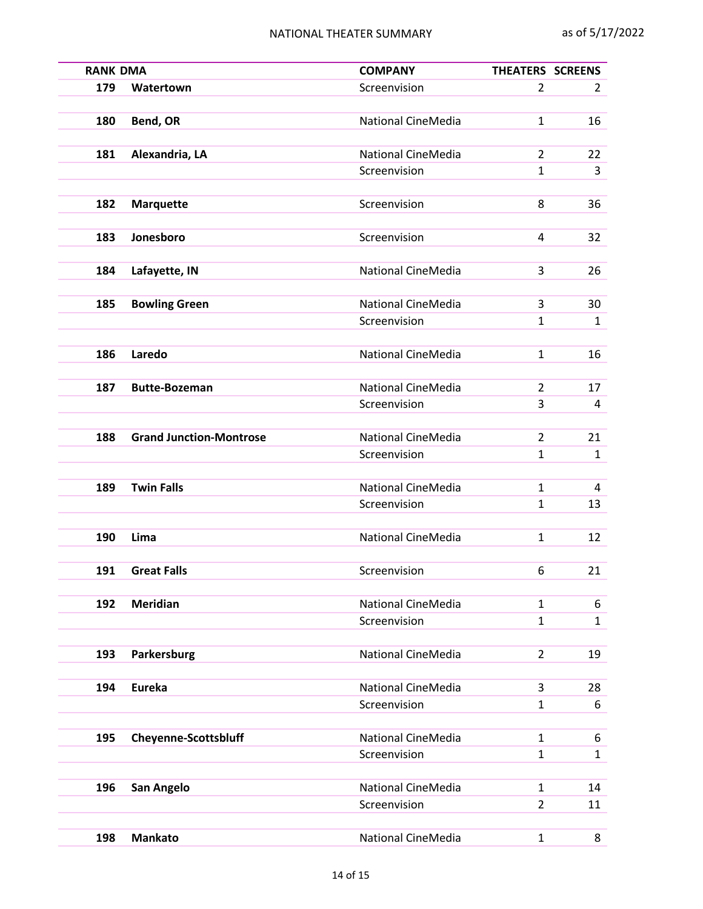| <b>RANK DMA</b> |                                | <b>COMPANY</b>            | THEATERS SCREENS |                |
|-----------------|--------------------------------|---------------------------|------------------|----------------|
| 179             | Watertown                      | Screenvision              | $\overline{2}$   | $\overline{2}$ |
| 180             | Bend, OR                       | <b>National CineMedia</b> | $\mathbf{1}$     | 16             |
|                 |                                |                           |                  |                |
| 181             | Alexandria, LA                 | National CineMedia        | $\overline{2}$   | 22             |
|                 |                                | Screenvision              | 1                | 3              |
| 182             |                                | Screenvision              | 8                | 36             |
|                 | <b>Marquette</b>               |                           |                  |                |
| 183             | Jonesboro                      | Screenvision              | 4                | 32             |
|                 |                                |                           |                  |                |
| 184             | Lafayette, IN                  | <b>National CineMedia</b> | 3                | 26             |
| 185             | <b>Bowling Green</b>           | <b>National CineMedia</b> | 3                | 30             |
|                 |                                | Screenvision              | 1                | $\mathbf{1}$   |
|                 |                                |                           |                  |                |
| 186             | Laredo                         | <b>National CineMedia</b> | $\mathbf{1}$     | 16             |
|                 |                                |                           |                  |                |
| 187             | <b>Butte-Bozeman</b>           | <b>National CineMedia</b> | $\overline{2}$   | 17             |
|                 |                                | Screenvision              | 3                | 4              |
| 188             | <b>Grand Junction-Montrose</b> | <b>National CineMedia</b> | $\overline{2}$   | 21             |
|                 |                                | Screenvision              | $\mathbf{1}$     | $\mathbf{1}$   |
|                 |                                |                           |                  |                |
| 189             | <b>Twin Falls</b>              | National CineMedia        | $\mathbf{1}$     | 4              |
|                 |                                | Screenvision              | 1                | 13             |
| 190             | Lima                           | National CineMedia        | $\mathbf{1}$     | 12             |
|                 |                                |                           |                  |                |
| 191             | <b>Great Falls</b>             | Screenvision              | 6                | 21             |
|                 |                                |                           |                  |                |
| 192             | <b>Meridian</b>                | National CineMedia        | $\mathbf{1}$     | 6              |
|                 |                                | Screenvision              | 1                | $\mathbf{1}$   |
| 193             | Parkersburg                    | <b>National CineMedia</b> | $\overline{2}$   | 19             |
|                 |                                |                           |                  |                |
| 194             | <b>Eureka</b>                  | National CineMedia        | 3                | 28             |
|                 |                                | Screenvision              | 1                | 6              |
| 195             | <b>Cheyenne-Scottsbluff</b>    | National CineMedia        | $\mathbf{1}$     | 6              |
|                 |                                | Screenvision              | $\mathbf{1}$     | $\mathbf{1}$   |
|                 |                                |                           |                  |                |
| 196             | San Angelo                     | National CineMedia        | $\mathbf{1}$     | 14             |
|                 |                                | Screenvision              | $\overline{2}$   | 11             |
|                 |                                |                           |                  |                |
| 198             | <b>Mankato</b>                 | National CineMedia        | $\mathbf{1}$     | 8              |